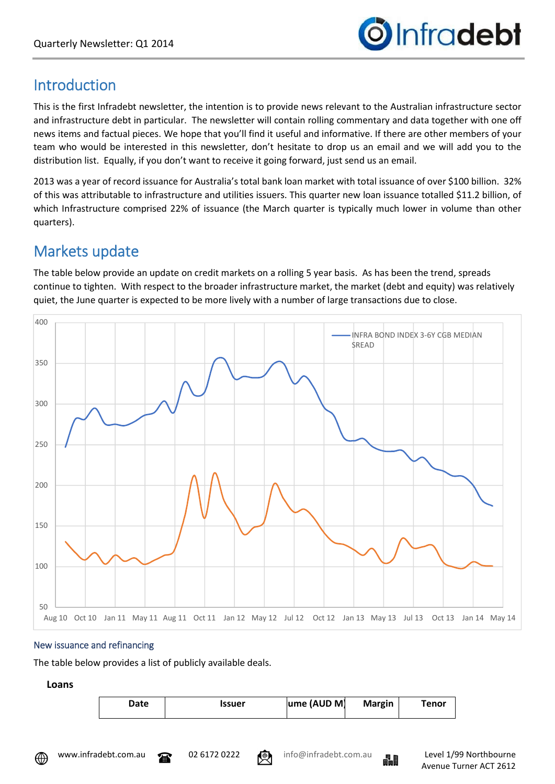

## Introduction

This is the first Infradebt newsletter, the intention is to provide news relevant to the Australian infrastructure sector and infrastructure debt in particular. The newsletter will contain rolling commentary and data together with one off news items and factual pieces. We hope that you'll find it useful and informative. If there are other members of your team who would be interested in this newsletter, don't hesitate to drop us an email and we will add you to the distribution list. Equally, if you don't want to receive it going forward, just send us an email.

2013 was a year of record issuance for Australia's total bank loan market with total issuance of over \$100 billion. 32% of this was attributable to infrastructure and utilities issuers. This quarter new loan issuance totalled \$11.2 billion, of which Infrastructure comprised 22% of issuance (the March quarter is typically much lower in volume than other quarters).

# Markets update

The table below provide an update on credit markets on a rolling 5 year basis. As has been the trend, spreads continue to tighten. With respect to the broader infrastructure market, the market (debt and equity) was relatively quiet, the June quarter is expected to be more lively with a number of large transactions due to close.



## New issuance and refinancing

The table below provides a list of publicly available deals.

## **Loans**

| Date | <b>Issuer</b> | ume (AUD M) | <b>Margin</b> | <b>Tenor</b> |
|------|---------------|-------------|---------------|--------------|
|      |               |             |               |              |

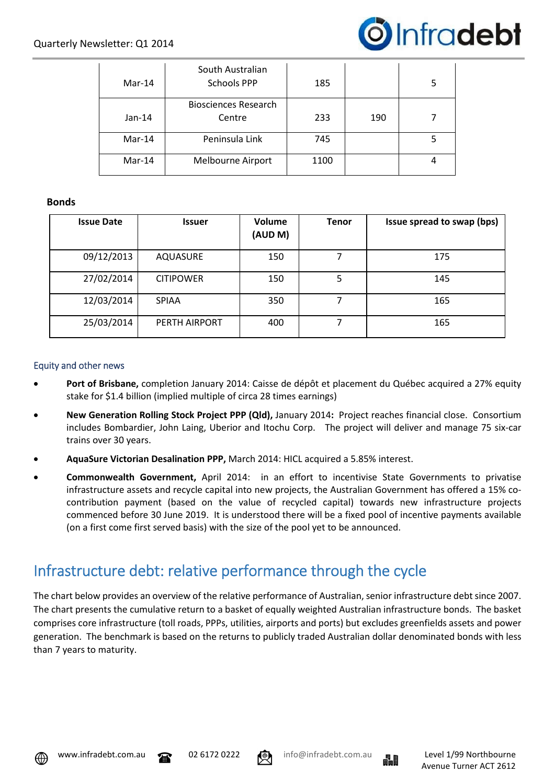

| Mar-14   | South Australian<br><b>Schools PPP</b> | 185 |     |  |
|----------|----------------------------------------|-----|-----|--|
| $Jan-14$ | <b>Biosciences Research</b><br>Centre  |     | 190 |  |
| Mar-14   | Peninsula Link                         | 745 |     |  |
| Mar-14   | Melbourne Airport                      |     |     |  |

#### **Bonds**

| <b>Issue Date</b> | <b>Issuer</b>    | Volume<br>(AUD M) | <b>Tenor</b> | Issue spread to swap (bps) |
|-------------------|------------------|-------------------|--------------|----------------------------|
| 09/12/2013        | AQUASURE         | 150               |              | 175                        |
| 27/02/2014        | <b>CITIPOWER</b> | 150               | 5            | 145                        |
| 12/03/2014        | <b>SPIAA</b>     | 350               |              | 165                        |
| 25/03/2014        | PERTH AIRPORT    | 400               |              | 165                        |

#### Equity and other news

- **Port of Brisbane,** completion January 2014: Caisse de dépôt et placement du Québec acquired a 27% equity stake for \$1.4 billion (implied multiple of circa 28 times earnings)
- **New Generation Rolling Stock Project PPP (Qld),** January 2014**:** Project reaches financial close. Consortium includes Bombardier, John Laing, Uberior and Itochu Corp. The project will deliver and manage 75 six-car trains over 30 years.
- **AquaSure Victorian Desalination PPP,** March 2014: HICL acquired a 5.85% interest.
- **Commonwealth Government,** April 2014:in an effort to incentivise State Governments to privatise infrastructure assets and recycle capital into new projects, the Australian Government has offered a 15% cocontribution payment (based on the value of recycled capital) towards new infrastructure projects commenced before 30 June 2019. It is understood there will be a fixed pool of incentive payments available (on a first come first served basis) with the size of the pool yet to be announced.

## Infrastructure debt: relative performance through the cycle

The chart below provides an overview of the relative performance of Australian, senior infrastructure debt since 2007. The chart presents the cumulative return to a basket of equally weighted Australian infrastructure bonds. The basket comprises core infrastructure (toll roads, PPPs, utilities, airports and ports) but excludes greenfields assets and power generation. The benchmark is based on the returns to publicly traded Australian dollar denominated bonds with less than 7 years to maturity.





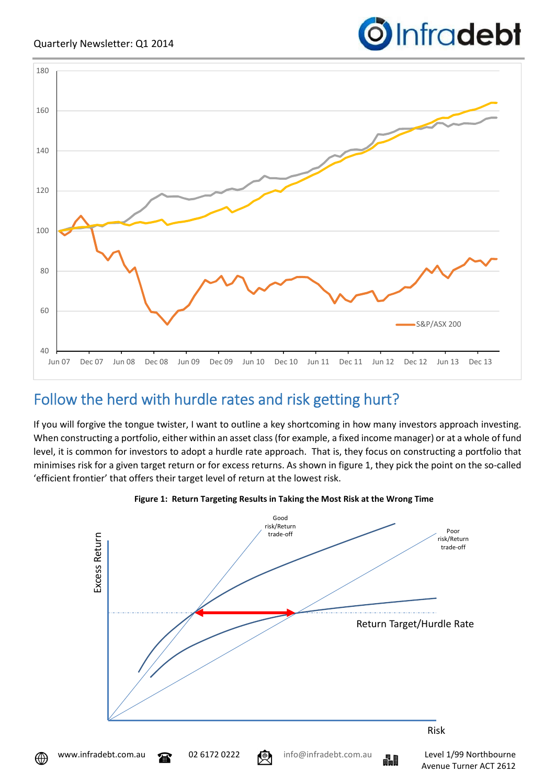

# Follow the herd with hurdle rates and risk getting hurt?

If you will forgive the tongue twister, I want to outline a key shortcoming in how many investors approach investing. When constructing a portfolio, either within an asset class (for example, a fixed income manager) or at a whole of fund level, it is common for investors to adopt a hurdle rate approach. That is, they focus on constructing a portfolio that minimises risk for a given target return or for excess returns. As shown in figure 1, they pick the point on the so-called 'efficient frontier' that offers their target level of return at the lowest risk.





⊕



Infradebt